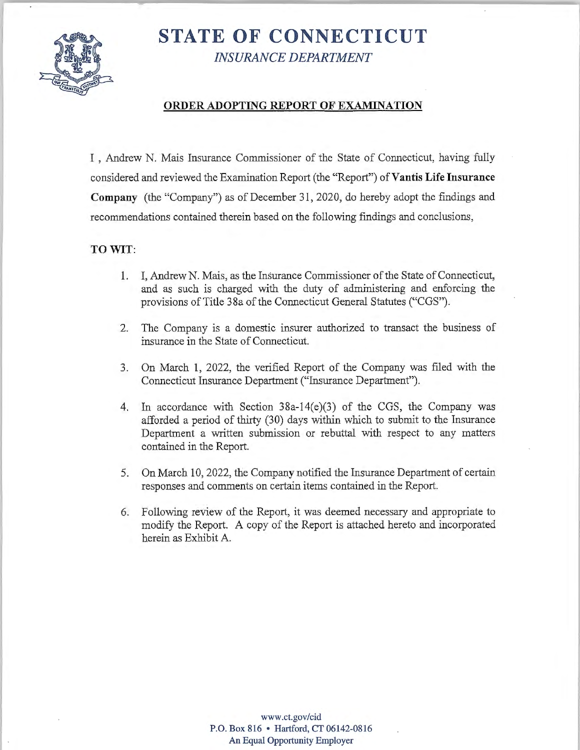

# **STATE OF CONNECTICUT**  *INSURANCE DEPARTMENT*

## **ORDER ADOPTING REPORT OF EXAMINATION**

I , Andrew N. Mais Insurance Commissioner of the State of Connecticut, having fully considered and reviewed the Examination Report (the "Report") of Vantis Life Insurance **Company** (the "Company") as of December 31, 2020, do hereby adopt the findings and recommendations contained therein based on the following findings and conclusions,

#### **TO WIT:**

- 1. I, Andrew N. Mais, as the Insurance Commissioner of the State of Connecticut, and as such is charged with the duty of administering and enforcing the provisions of Title 38a of the Connecticut General Statutes ("CGS").
- 2. The Company is a domestic insurer authorized to transact the business of insurance in the State of Connecticut.
- 3. On March 1, 2022, the verified Report of the Company was filed with the Connecticut Insurance Department ("Insurance Department").
- 4. In accordance with Section 38a-14(e)(3) of the CGS, the Company was afforded a period of thirty (30) days within which to submit to the Insurance Department a written submission or rebuttal with respect to any matters contained in the Report.
- 5. On March 10, 2022, the Company notified the Insurance Department of certain responses and comments on certain items contained in the Report.
- 6. Following review of the Report, it was deemed necessary and appropriate to modify the Report. A copy of the Report is attached hereto and incorporated herein as Exhibit A.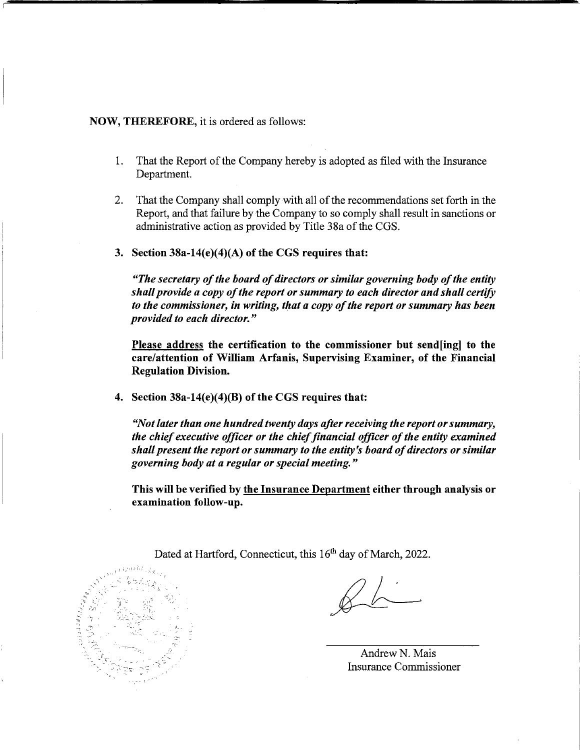#### **NOW, THEREFORE,** it is ordered as follows:

- 1. That the Report of the Company hereby is adopted as filed with the Insurance Department.
- 2. That the Company shall comply with all of the recommendations set forth in the Report, and that failure by the Company to so comply shall result in sanctions or administrative action as provided by Title 38a of the CGS.
- **3. Section 38a-14(e)(4)(A) of the CGS requires that:**

*"The secretary of the board of directors or similar governing body of the entity shall provide a copy of the report or summary to each director and shall certify to the commissioner, in writing, that a copy of the report or summary has been provided to each director."* 

**Please address the certification to the commissioner but send[ing] to the care/attention of William Arfanis, Supervising Examiner, of the Financial Regulation Division.** 

**4. Section 38a-14(e)(4)(B) of the CGS requires that:** 

*"Not later than one hundred twenty days after receiving the report or summary, the chief executive officer or the chief financial officer of the entity examined shall present the report or summary to the entity's board of directors or similar governing body at a regular or special meeting.* "

**This will be verified by the Insurance Department either through analysis or examination follow-up.** 



Dated at Hartford, Connecticut, this 16<sup>th</sup> day of March, 2022.

AndrewN. Mais Insurance Commissioner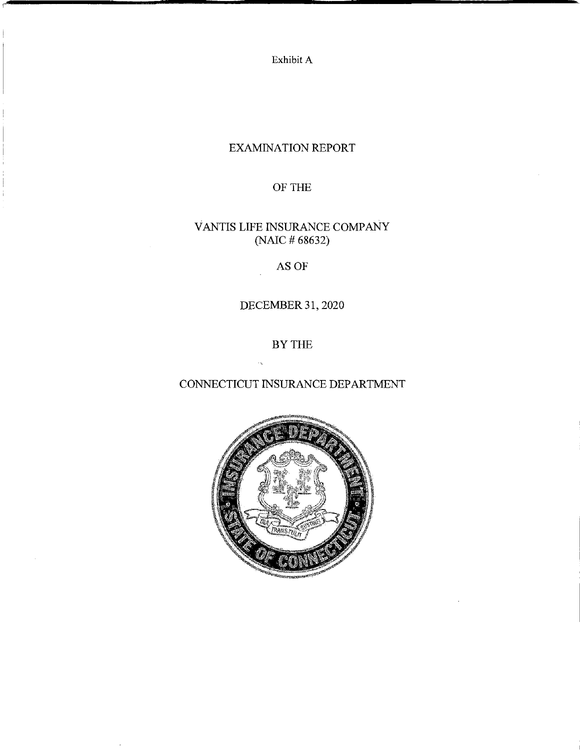Exhibit A

## EXAMINATION REPORT

## OF THE

## VANTIS LIFE INSURANCE COMPANY (NAIC # 68632)

## AS OF

## DECEMBER 31, 2020

## BY THE

## CONNECTICUT INSURANCE DEPARTMENT

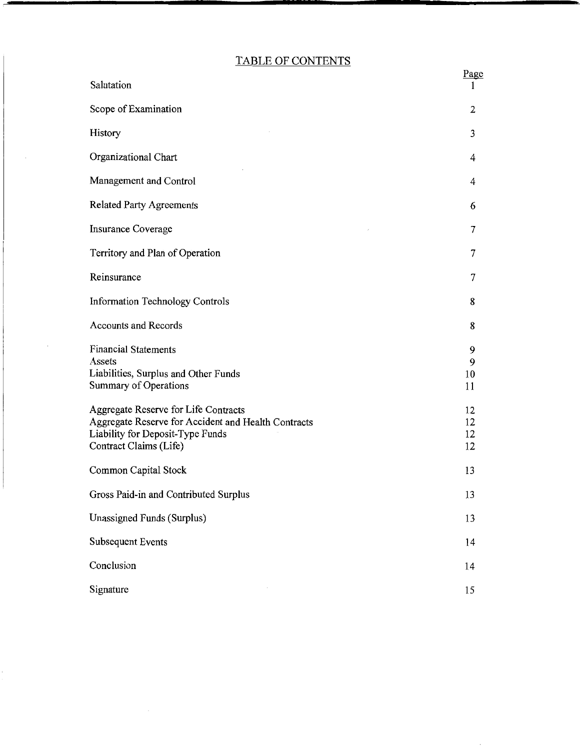## TABLE OF CONTENTS

| Salutation                                                                                                                                                | <u>Page</u>          |
|-----------------------------------------------------------------------------------------------------------------------------------------------------------|----------------------|
| Scope of Examination                                                                                                                                      | 2                    |
| History                                                                                                                                                   | 3                    |
| Organizational Chart                                                                                                                                      | 4                    |
| Management and Control                                                                                                                                    | 4                    |
| <b>Related Party Agreements</b>                                                                                                                           | 6                    |
| Insurance Coverage                                                                                                                                        | 7                    |
| Territory and Plan of Operation                                                                                                                           | 7                    |
| Reinsurance                                                                                                                                               | 7                    |
| <b>Information Technology Controls</b>                                                                                                                    | 8                    |
| <b>Accounts and Records</b>                                                                                                                               | 8                    |
| <b>Financial Statements</b><br>Assets<br>Liabilities, Surplus and Other Funds<br>Summary of Operations                                                    | 9<br>9<br>10<br>11   |
| Aggregate Reserve for Life Contracts<br>Aggregate Reserve for Accident and Health Contracts<br>Liability for Deposit-Type Funds<br>Contract Claims (Life) | 12<br>12<br>12<br>12 |
| Common Capital Stock                                                                                                                                      | 13                   |
| Gross Paid-in and Contributed Surplus                                                                                                                     | 13                   |
| Unassigned Funds (Surplus)                                                                                                                                | 13                   |
| <b>Subsequent Events</b>                                                                                                                                  | 14                   |
| Conclusion                                                                                                                                                | 14                   |
| Signature                                                                                                                                                 | 15                   |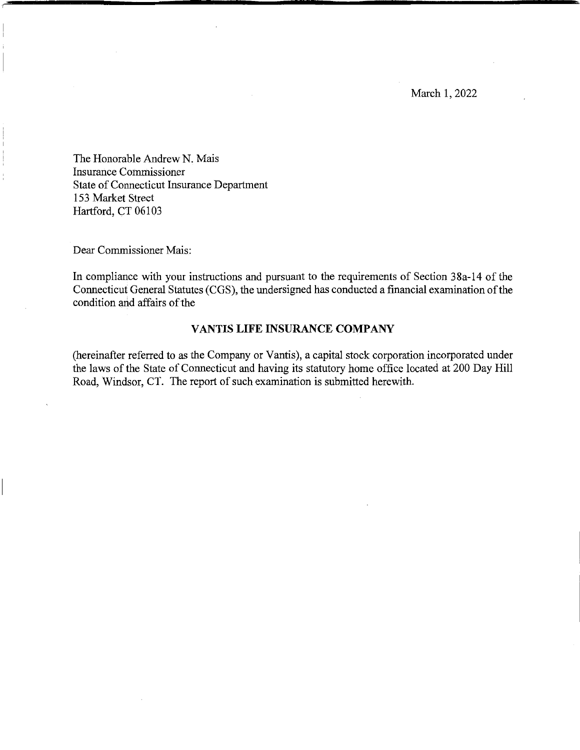March 1, 2022

The Honorable Andrew N. Mais Insurance Commissioner State of Connecticut Insurance Department 153 Market Street Hartford, CT 06103

Dear Commissioner Mais:

In compliance with your instructions and pursuant to the requirements of Section 38a-14 of the Connecticut General Statutes (CGS), the undersigned has conducted a financial examination ofthe condition and affairs of the

#### **VANTIS LIFE INSURANCE COMPANY**

(hereinafter referred to as the Company or Yantis), a capital stock corporation incorporated under the laws of the State of Connecticut and having its statutory home office located at 200 Day Hill Road, Windsor, CT. The report of such examination is submitted herewith.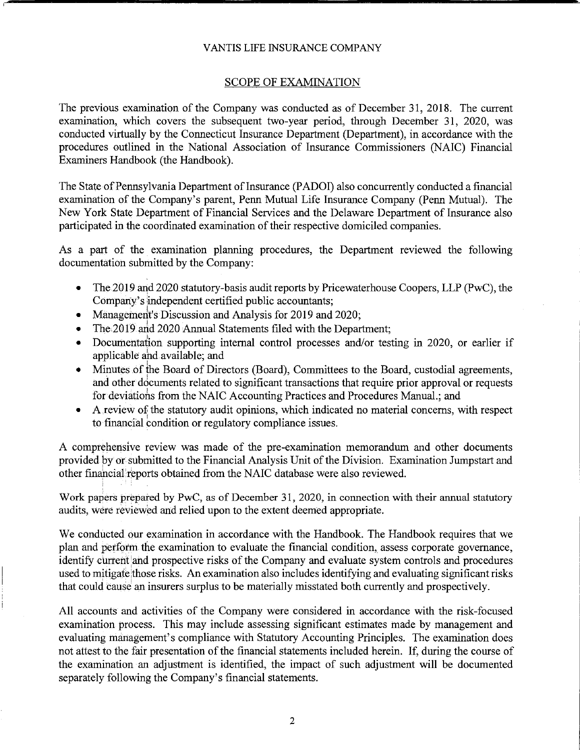#### SCOPE OF EXAMINATION

The previous examination of the Company was conducted as of December 31, 2018. The current examination, which covers the subsequent two-year period, through December 31, 2020, was conducted virtually by the Connecticut Insurance Department (Department), in accordance with the procedures outlined in the National Association of Insurance Commissioners (NAIC) Financial Examiners Handbook (the Handbook).

The State of Pennsylvania Department of Insurance (PADOI) also concurrently conducted a financial examination of the Company's parent, Penn Mutual Life Insurance Company (Penn Mutual). The New York State Department of Financial Services and the Delaware Department of Insurance also participated in the coordinated examination of their respective domiciled companies.

As a part of the examination planning procedures, the Department reviewed the following documentation submitted by the Company:

- The 2019 and 2020 statutory-basis audit reports by Pricewaterhouse Coopers, LLP (PwC), the Company's independent certified public accountants;
- Management's Discussion and Analysis for 2019 and 2020;
- The 2019 and 2020 Annual Statements filed with the Department;
- Documentation supporting internal control processes and/or testing in 2020, or earlier if applicable ahd available; and
- Minutes of the Board of Directors (Board), Committees to the Board, custodial agreements, and other documents related to significant transactions that require prior approval or requests for deviations from the NAIC Accounting Practices and Procedures Manual.; and
- A review of the statutory audit opinions, which indicated no material concerns, with respect to financial condition or regulatory compliance issues.

A comprehensive review was made of the pre-examination memorandum and other documents provided by or submitted to the Financial Analysis Unit of the Division. Examination Jumpstart and other financial reports obtained from the NAIC database were also reviewed.

Work papers prepared by PwC, as of December 31, 2020, in connection with their annual statutory audits, were reviewed and relied upon to the extent deemed appropriate.

We conducted our examination in accordance with the Handbook. The Handbook requires that we plan and perform the examination to evaluate the financial condition, assess corporate governance, identify current and prospective risks of the Company and evaluate system controls and procedures used to mitigate those risks. An examination also includes identifying and evaluating significant risks that could cause an insurers surplus to be materially misstated both currently and prospectively.

All accounts and activities of the Company were considered in accordance with the risk-focused examination process. This may include assessing significant estimates made by management and evaluating management's compliance with Statutory Accounting Principles. The examination does not attest to the fair presentation of the financial statements included herein. If, during the course of the examination an adjustment is identified, the impact of such adjustment will be documented separately following the Company's financial statements.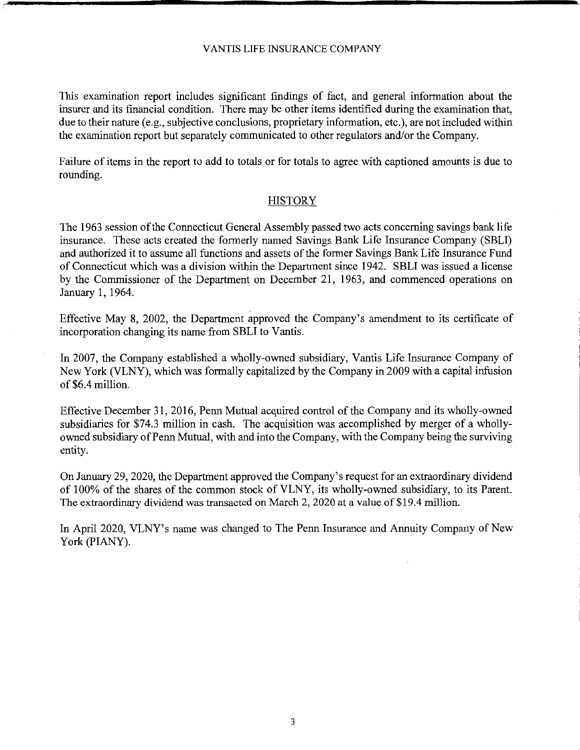This examination report includes significant findings of fact, and general information about the insurer and its financial condition. There may be other items identified during the examination that, due to their nature (e.g., subjective conclusions, proprietary information, etc.), are not included within the examination report but separately communicated to other regulators and/or the Company.

Failure of items in the report to add to totals or for totals to agree with captioned amounts is due to rounding.

#### **HISTORY**

The 1963 session ofthe Connecticut General Assembly passed two acts concerning savings bank life insurance. These acts created the formerly named Savings Bank Life Insurance Company (SBLI) and authorized it to assume all functions and assets of the former Savings Bank Life Insurance Fund of Connecticut which was a division within the Department since 1942. SBLI was issued a license by the Commissioner of the Department on December 21, 1963, and commenced operations on January 1, 1964.

Effective May 8, 2002, the Department approved the Company's amendment to its certificate of incorporation changing its name from SBLI to Vantis.

In 2007, the Company established a wholly-owned subsidiary, Yantis Life Insurance Company of New York (VLNY), which was formally capitalized by the Company in 2009 with a capital infusion of \$6.4 million.

Effective December 31, 2016, Penn Mutual acquired control of the Company and its wholly-owned subsidiaries for \$74.3 million in cash. The acquisition was accomplished by merger of a whollyowned subsidiary of Penn Mutual, with and into the Company, with the Company being the surviving entity.

On January 29, 2020, the Department approved the Company's request for an extraordinary dividend of 100% of the shares of the common stock of VLNY, its wholly-owned subsidiary, to its Parent. The extraordinary dividend was transacted on March 2, 2020 at a value of \$19.4 million.

In April 2020, VLNY's name was changed to The Penn Insurance and Annuity Company of New York (PIANY).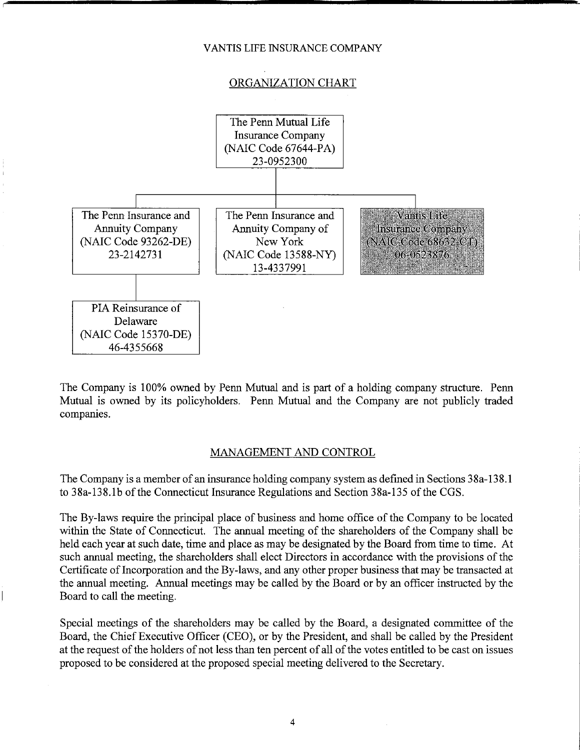#### ORGANIZATION CHART



The Company is 100% owned by Penn Mutual and is part of a holding company structure. Penn Mutual is owned by its policyholders. Penn Mutual and the Company are not publicly traded companies.

#### MANAGEMENT AND CONTROL

The Company is a member of an insurance holding company system as defined in Sections 38a-138. l to [38a-138.lb](https://38a-138.lb) of the Connecticut Insurance Regulations and Section 38a-135 of the CGS.

The By-laws require the principal place of business and home office of the Company to be located within the State of Connecticut. The annual meeting of the shareholders of the Company shall be held each year at such date, time and place as may be designated by the Board from time to time. At such annual meeting, the shareholders shall elect Directors in accordance with the provisions of the Certificate of Incorporation and the By-laws, and any other proper business that may be transacted at the annual meeting. Annual meetings may be called by the Board or by an officer instructed by the Board to call the meeting.

Special meetings of the shareholders may be called by the Board, a designated committee of the Board, the Chief Executive Officer (CEO), or by the President, and shall be called by the President at the request of the holders of not less than ten percent of all of the votes entitled to be cast on issues proposed to be considered at the proposed special meeting delivered to the Secretary.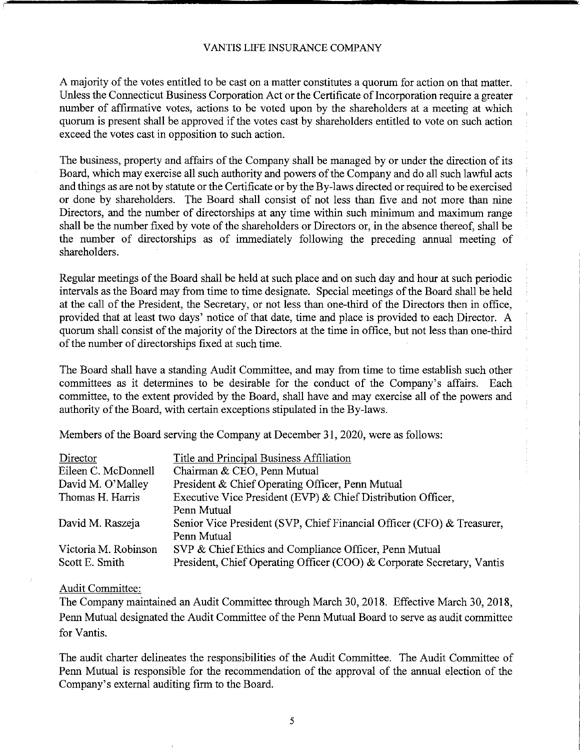A majority of the votes entitled to be cast on a matter constitutes a quorum for action on that matter. Unless the Connecticut Business Corporation Act or the Certificate of Incorporation require a greater number of affirmative votes, actions to be voted upon by the shareholders at a meeting at which quorum is present shall be approved if the votes cast by shareholders entitled to vote on such action exceed the votes cast in opposition to such action.

The business, property and affairs of the Company shall be managed by or under the direction of its Board, which may exercise all such authority and powers of the Company and do all such lawful acts and things as are not by statute or the Certificate or by the By-laws directed or required to be exercised or done by shareholders. The Board shall consist of not less than five and not more than nine Directors, and the number of directorships at any time within such minimum and maximum range shall be the number fixed by vote of the shareholders or Directors or, in the absence thereof, shall be the number of directorships as of immediately following the preceding annual meeting of shareholders.

Regular meetings of the Board shall be held at such place and on such day and hour at such periodic intervals as the Board may from time to time designate. Special meetings of the Board shall be held at the call of the President, the Secretary, or not less than one-third of the Directors then in office, provided that at least two days' notice of that date, time and place is provided to each Director. A quorum shall consist of the majority of the Directors at the time in office, but not less than one-third of the number of directorships fixed at such time.

The Board shall have a standing Audit Committee, and may from time to time establish such other committees as it determines to be desirable for the conduct of the Company's affairs. Each committee, to the extent provided by the Board, shall have and may exercise all of the powers and authority of the Board, with certain exceptions stipulated in the By-laws.

Members of the Board serving the Company at December 31, 2020, were as follows:

| Director             | Title and Principal Business Affiliation                               |
|----------------------|------------------------------------------------------------------------|
| Eileen C. McDonnell  | Chairman & CEO, Penn Mutual                                            |
| David M. O'Malley    | President & Chief Operating Officer, Penn Mutual                       |
| Thomas H. Harris     | Executive Vice President (EVP) & Chief Distribution Officer,           |
|                      | Penn Mutual                                                            |
| David M. Raszeja     | Senior Vice President (SVP, Chief Financial Officer (CFO) & Treasurer, |
|                      | Penn Mutual                                                            |
| Victoria M. Robinson | SVP & Chief Ethics and Compliance Officer, Penn Mutual                 |
| Scott E. Smith       | President, Chief Operating Officer (COO) & Corporate Secretary, Vantis |

#### Audit Committee:

The Company maintained an Audit Committee through March 30, 2018. Effective March 30, 2018, Penn Mutual designated the Audit Committee of the Penn Mutual Board to serve as audit committee for Yantis.

The audit charter delineates the responsibilities of the Audit Committee. The Audit Committee of Penn Mutual is responsible for the recommendation of the approval of the annual election of the Company's external auditing firm to the Board.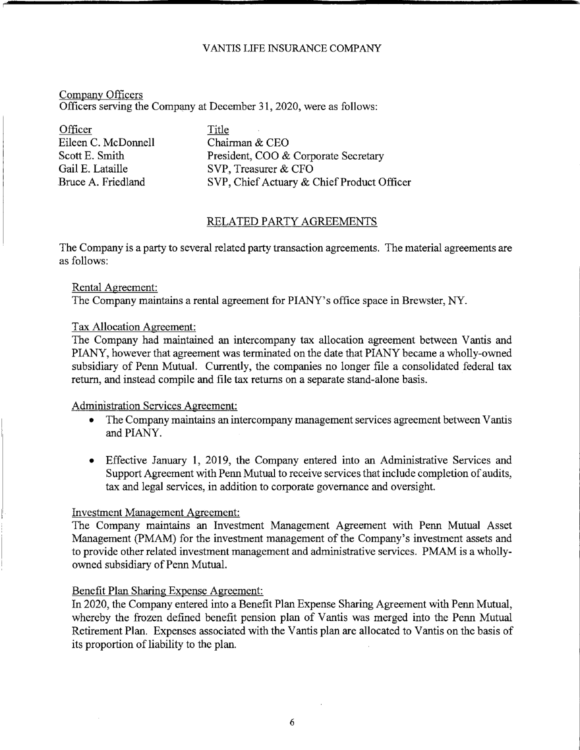#### Company Officers Officers serving the Company at December 31, 2020, were as follows:

Officer Title Eileen C. McDonnell Chairman & CEO

Scott E. Smith President, COO & Corporate Secretary Gail E. Lataille SVP, Treasurer & CFO Bruce A. Friedland SVP, Chief Actuary & Chief Product Officer

#### RELATED PARTY AGREEMENTS

The Company is a party to several related party transaction agreements. The material agreements are as follows:

#### Rental Agreement:

The Company maintains a rental agreement for PIANY's office space in Brewster, NY.

#### Tax Allocation Agreement:

The Company had maintained an intercompany tax allocation agreement between Vantis and PIANY, however that agreement was terminated on the date that PIANY became a wholly-owned subsidiary of Penn Mutual. Currently, the companies no longer file a consolidated federal tax return, and instead compile and file tax returns on a separate stand-alone basis.

#### Administration Services Agreement:

- The Company maintains an intercompany management services agreement between V antis and PIANY.
- Effective January 1, 2019, the Company entered into an Administrative Services and Support Agreement with Penn Mutual to receive services that include completion of audits, tax and legal services, in addition to corporate governance and oversight.

#### Investment Management Agreement:

The Company maintains an Investment Management Agreement with Penn Mutual Asset Management (PMAM) for the investment management of the Company's investment assets and to provide other related investment management and administrative services. PMAM is a whollyowned subsidiary of Penn Mutual.

#### Benefit Plan Sharing Expense Agreement:

In 2020, the Company entered into a Benefit Plan Expense Sharing Agreement with Penn Mutual, whereby the frozen defined benefit pension plan of Vantis was merged into the Penn Mutual Retirement Plan. Expenses associated with the Vantis plan are allocated to Vantis on the basis of its proportion of liability to the plan.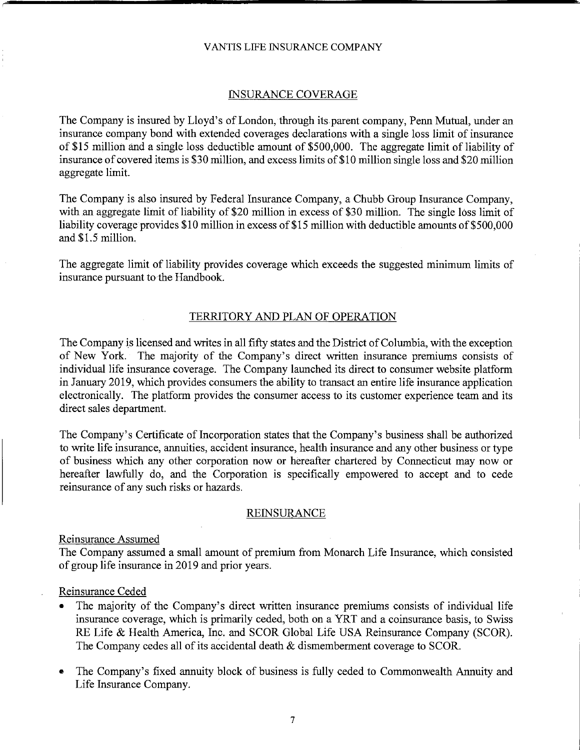#### INSURANCE COVERAGE

The Company is insured by Lloyd's of London, through its parent company, Penn Mutual, under an insurance company bond with extended coverages declarations with a single loss limit of insurance of \$15 million and a single loss deductible amount of \$500,000. The aggregate limit of liability of insurance of covered items is \$30 million, and excess limits of\$10 million single loss and \$20 million aggregate limit.

The Company is also insured by Federal Insurance Company, a Chubb Group Insurance Company, with an aggregate limit of liability of \$20 million in excess of \$30 million. The single loss limit of liability coverage provides \$10 million in excess of \$15 million with deductible amounts of \$500,000 and \$1.5 million.

The aggregate limit of liability provides coverage which exceeds the suggested minimum limits of insurance pursuant to the Handbook.

#### TERRITORY AND PLAN OF OPERATION

The Company is licensed and writes in all fifty states and the District of Columbia, with the exception of New York. The majority of the Company's direct written insurance premiums consists of individual life insurance coverage. The Company launched its direct to consumer website platform in January 2019, which provides consumers the ability to transact an entire life insurance application electronically. The platform provides the consumer access to its customer experience team and its direct sales department.

The Company's Certificate of Incorporation states that the Company's business shall be authorized to write life insurance, annuities, accident insurance, health insurance and any other business or type of business which any other corporation now or hereafter chartered by Connecticut may now or hereafter lawfully do, and the Corporation is specifically empowered to accept and to cede reinsurance of any such risks or hazards.

#### **REINSURANCE**

#### Reinsurance Assumed

The Company assumed a small amount of premium from Monarch Life Insurance, which consisted of group life insurance in 2019 and prior years.

#### Reinsurance Ceded

- The majority of the Company's direct written insurance premiums consists of individual life insurance coverage, which is primarily ceded, both on a YRT and a coinsurance basis, to Swiss RE Life & Health America, Inc. and SCOR Global Life USA Reinsurance Company (SCOR). The Company cedes all of its accidental death  $&$  dismemberment coverage to SCOR.
- The Company's fixed annuity block of business is fully ceded to Commonwealth Annuity and Life Insurance Company.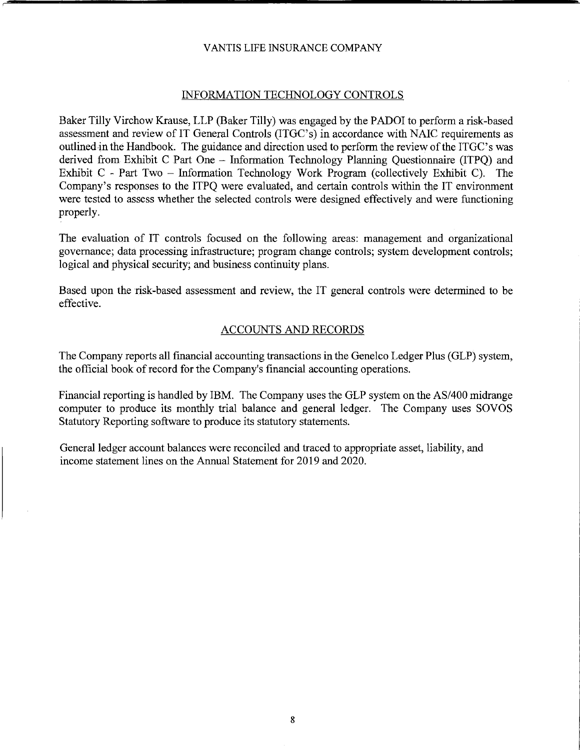#### INFORMATION TECHNOLOGY CONTROLS

Baker Tilly Virchow Krause, LLP (Baker Tilly) was engaged by the PADOI to perform a risk-based assessment and review of IT General Controls (ITGC's) in accordance with NAIC requirements as outlined in the Handbook. The guidance and direction used to perform the review of the ITGC's was derived from Exhibit C Part One - Information Technology Planning Questionnaire (ITPQ) and Exhibit C - Part Two - Information Technology Work Program (collectively Exhibit C). The Company's responses to the ITPQ were evaluated, and certain controls within the IT environment were tested to assess whether the selected controls were designed effectively and were functioning properly.

The evaluation of IT controls focused on the following areas: management and organizational governance; data processing infrastructure; program change controls; system development controls; logical and physical security; and business continuity plans.

Based upon the risk-based assessment and review, the IT general controls were determined to be effective.

#### ACCOUNTS AND RECORDS

The Company reports all financial accounting transactions in the Genelco Ledger Plus (GLP) system, the official book of record for the Company's financial accounting operations.

Financial reporting is handled by IBM. The Company uses the GLP system on the AS/400 midrange computer to produce its monthly trial balance and general ledger. The Company uses SOVOS Statutory Reporting software to produce its statutory statements.

General ledger account balances were reconciled and traced to appropriate asset, liability, and income statement lines on the Annual Statement for 2019 and 2020.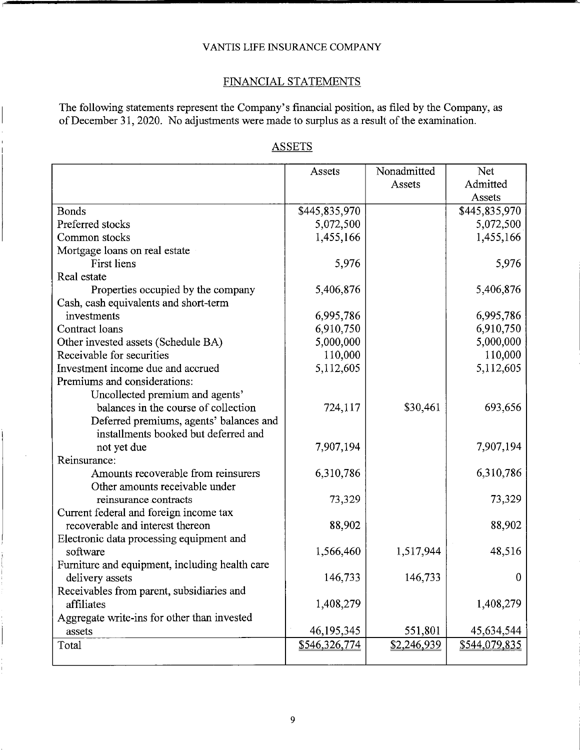## FINANCIAL STATEMENTS

The following statements represent the Company's financial position, as filed by the Company, as of December 31, 2020. No adjustments were made to surplus as a result of the examination.

## ASSETS

|                                                | Assets        | Nonadmitted | Net           |
|------------------------------------------------|---------------|-------------|---------------|
|                                                |               | Assets      | Admitted      |
|                                                |               |             | Assets        |
| <b>Bonds</b>                                   | \$445,835,970 |             | \$445,835,970 |
| Preferred stocks                               | 5,072,500     |             | 5,072,500     |
| Common stocks                                  | 1,455,166     |             | 1,455,166     |
| Mortgage loans on real estate                  |               |             |               |
| <b>First liens</b>                             | 5,976         |             | 5,976         |
| Real estate                                    |               |             |               |
| Properties occupied by the company             | 5,406,876     |             | 5,406,876     |
| Cash, cash equivalents and short-term          |               |             |               |
| investments                                    | 6,995,786     |             | 6,995,786     |
| Contract loans                                 | 6,910,750     |             | 6,910,750     |
| Other invested assets (Schedule BA)            | 5,000,000     |             | 5,000,000     |
| Receivable for securities                      | 110,000       |             | 110,000       |
| Investment income due and accrued              | 5,112,605     |             | 5,112,605     |
| Premiums and considerations:                   |               |             |               |
| Uncollected premium and agents'                |               |             |               |
| balances in the course of collection           | 724,117       | \$30,461    | 693,656       |
| Deferred premiums, agents' balances and        |               |             |               |
| installments booked but deferred and           |               |             |               |
| not yet due                                    | 7,907,194     |             | 7,907,194     |
| Reinsurance:                                   |               |             |               |
| Amounts recoverable from reinsurers            | 6,310,786     |             | 6,310,786     |
| Other amounts receivable under                 |               |             |               |
| reinsurance contracts                          | 73,329        |             | 73,329        |
| Current federal and foreign income tax         |               |             |               |
| recoverable and interest thereon               | 88,902        |             | 88,902        |
| Electronic data processing equipment and       |               |             |               |
| software                                       | 1,566,460     | 1,517,944   | 48,516        |
| Furniture and equipment, including health care |               |             |               |
| delivery assets                                | 146,733       | 146,733     | $\mathbf{0}$  |
| Receivables from parent, subsidiaries and      |               |             |               |
| affiliates                                     | 1,408,279     |             | 1,408,279     |
| Aggregate write-ins for other than invested    |               |             |               |
| assets                                         | 46, 195, 345  | 551,801     | 45,634,544    |
| Total                                          | \$546,326,774 | \$2,246,939 | \$544,079,835 |
|                                                |               |             |               |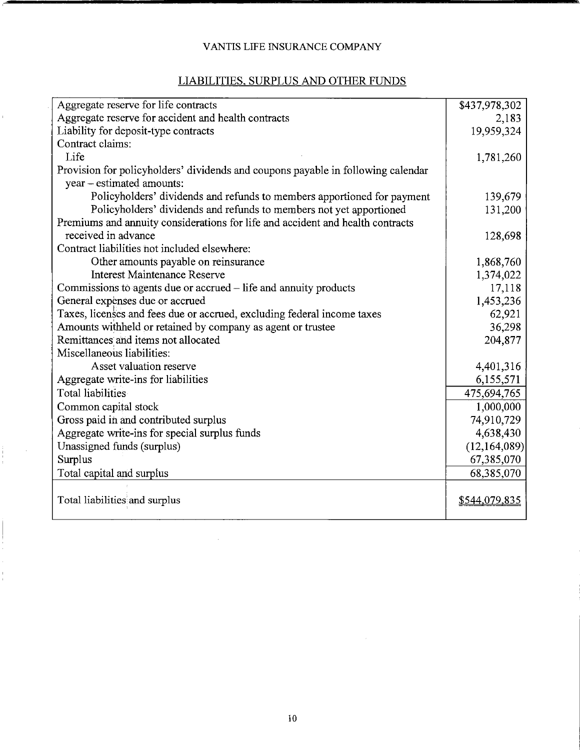## LIABILITIES, SURPLUS AND OTHER FUNDS

 $\hat{\mathbf{r}}$ 

 $\begin{array}{c} \vdots \\ \vdots \\ \vdots \\ \vdots \end{array}$ 

| Aggregate reserve for life contracts                                             | \$437,978,302 |
|----------------------------------------------------------------------------------|---------------|
| Aggregate reserve for accident and health contracts                              | 2,183         |
| Liability for deposit-type contracts                                             | 19,959,324    |
| Contract claims:                                                                 |               |
| Life                                                                             | 1,781,260     |
| Provision for policyholders' dividends and coupons payable in following calendar |               |
| year – estimated amounts:                                                        |               |
| Policyholders' dividends and refunds to members apportioned for payment          | 139,679       |
| Policyholders' dividends and refunds to members not yet apportioned              | 131,200       |
| Premiums and annuity considerations for life and accident and health contracts   |               |
| received in advance                                                              | 128,698       |
| Contract liabilities not included elsewhere:                                     |               |
| Other amounts payable on reinsurance                                             | 1,868,760     |
| <b>Interest Maintenance Reserve</b>                                              | 1,374,022     |
| Commissions to agents due or accrued – life and annuity products                 | 17,118        |
| General expenses due or accrued                                                  | 1,453,236     |
| Taxes, licenses and fees due or accrued, excluding federal income taxes          | 62,921        |
| Amounts withheld or retained by company as agent or trustee                      | 36,298        |
| Remittances and items not allocated                                              | 204,877       |
| Miscellaneous liabilities:                                                       |               |
| Asset valuation reserve                                                          | 4,401,316     |
| Aggregate write-ins for liabilities                                              | 6,155,571     |
| Total liabilities                                                                | 475,694,765   |
| Common capital stock                                                             | 1,000,000     |
| Gross paid in and contributed surplus                                            | 74,910,729    |
| Aggregate write-ins for special surplus funds                                    | 4,638,430     |
| Unassigned funds (surplus)                                                       | (12,164,089)  |
| Surplus                                                                          | 67,385,070    |
| Total capital and surplus                                                        | 68,385,070    |
|                                                                                  |               |
| Total liabilities and surplus                                                    | \$544,079,835 |
|                                                                                  |               |

 $\sim 10^7$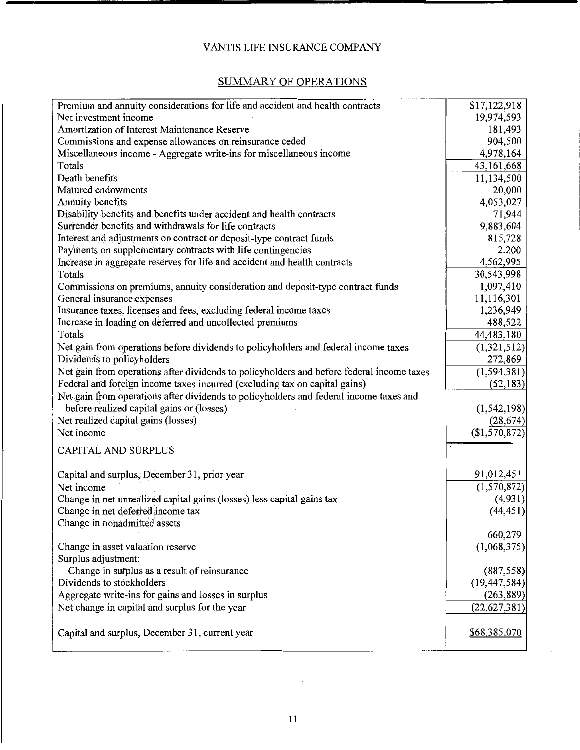## SUMMARY OF OPERATIONS

| Premium and annuity considerations for life and accident and health contracts                                                                                           | \$17,122,918   |
|-------------------------------------------------------------------------------------------------------------------------------------------------------------------------|----------------|
| Net investment income                                                                                                                                                   | 19,974,593     |
| Amortization of Interest Maintenance Reserve                                                                                                                            | 181,493        |
| Commissions and expense allowances on reinsurance ceded                                                                                                                 | 904,500        |
| Miscellaneous income - Aggregate write-ins for miscellaneous income                                                                                                     | 4,978,164      |
| Totals                                                                                                                                                                  | 43,161,668     |
| Death benefits                                                                                                                                                          | 11,134,500     |
| Matured endowments                                                                                                                                                      | 20,000         |
| Annuity benefits                                                                                                                                                        | 4,053,027      |
| Disability benefits and benefits under accident and health contracts                                                                                                    | 71,944         |
| Surrender benefits and withdrawals for life contracts                                                                                                                   | 9,883,604      |
| Interest and adjustments on contract or deposit-type contract funds                                                                                                     | 815,728        |
| Payments on supplementary contracts with life contingencies                                                                                                             | 2.200          |
| Increase in aggregate reserves for life and accident and health contracts                                                                                               | 4,562,995      |
| Totals                                                                                                                                                                  | 30,543,998     |
| Commissions on premiums, annuity consideration and deposit-type contract funds                                                                                          | 1,097,410      |
| General insurance expenses                                                                                                                                              | 11,116,301     |
| Insurance taxes, licenses and fees, excluding federal income taxes                                                                                                      | 1,236,949      |
| Increase in loading on deferred and uncollected premiums                                                                                                                | 488,522        |
| Totals                                                                                                                                                                  | 44,483,180     |
| Net gain from operations before dividends to policyholders and federal income taxes                                                                                     | (1,321,512)    |
| Dividends to policyholders                                                                                                                                              | 272,869        |
|                                                                                                                                                                         | (1, 594, 381)  |
| Net gain from operations after dividends to policyholders and before federal income taxes<br>Federal and foreign income taxes incurred (excluding tax on capital gains) | (52, 183)      |
|                                                                                                                                                                         |                |
| Net gain from operations after dividends to policyholders and federal income taxes and                                                                                  |                |
| before realized capital gains or (losses)                                                                                                                               | (1, 542, 198)  |
| Net realized capital gains (losses)                                                                                                                                     | (28, 674)      |
| Net income                                                                                                                                                              | (\$1,570,872)  |
| CAPITAL AND SURPLUS                                                                                                                                                     |                |
| Capital and surplus, December 31, prior year                                                                                                                            | 91,012,451     |
| Net income                                                                                                                                                              | (1,570,872)    |
| Change in net unrealized capital gains (losses) less capital gains tax                                                                                                  | (4,931)        |
| Change in net deferred income tax                                                                                                                                       | (44, 451)      |
| Change in nonadmitted assets                                                                                                                                            |                |
|                                                                                                                                                                         | 660,279        |
| Change in asset valuation reserve                                                                                                                                       | (1,068,375)    |
| Surplus adjustment:                                                                                                                                                     |                |
| Change in surplus as a result of reinsurance                                                                                                                            | (887, 558)     |
| Dividends to stockholders                                                                                                                                               | (19, 447, 584) |
| Aggregate write-ins for gains and losses in surplus                                                                                                                     | (263, 889)     |
| Net change in capital and surplus for the year                                                                                                                          | (22, 627, 381) |
|                                                                                                                                                                         |                |
| Capital and surplus, December 31, current year                                                                                                                          | \$68,385,070   |
|                                                                                                                                                                         |                |

 $\cdot$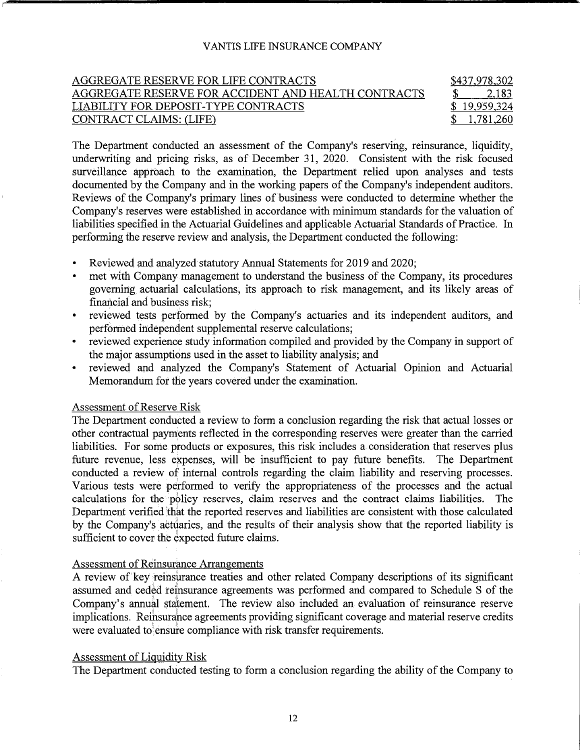## AGGREGATE RESERVE FOR LIFE CONTRACTS \$437,978,302 AGGREGATE RESERVE FOR ACCIDENT AND HEALTH CONTRACTS \$2,183 LIABILITY FOR DEPOSIT-TYPE CONTRACTS \$ 19,959,324 CONTRACT CLAIMS: (LIFE) \$ 1,781,260

The Department conducted an assessment of the Company's reserving, reinsurance, liquidity, underwriting and pricing risks, as of December 31, 2020. Consistent with the risk focused surveillance approach to the examination, the Department relied upon analyses and tests documented by the Company and in the working papers of the Company's independent auditors. Reviews of the Company's primary lines of business were conducted to determine whether the Company's reserves were established in accordance with minimum standards for the valuation of liabilities specified in the Actuarial Guidelines and applicable Actuarial Standards of Practice. In performing the reserve review and analysis, the Department conducted the following:

- Reviewed and analyzed statutory Annual Statements for 2019 and 2020;
- met with Company management to understand the business of the Company, its procedures governing actuarial calculations, its approach to risk management, and its likely areas of financial and business risk;
- reviewed tests performed by the Company's actuaries and its independent auditors, and performed independent supplemental reserve calculations;
- reviewed experience study information compiled and provided by the Company in support of the major assumptions used in the asset to liability analysis; and
- reviewed and analyzed the Company's Statement of Actuarial Opinion and Actuarial Memorandum for the years covered under the examination.

#### Assessment of Reserve Risk

The Department conducted a review to form a conclusion regarding the risk that actual losses or other contractual payments reflected in the corresponding reserves were greater than the carried liabilities. For some products or exposures, this risk includes a consideration that reserves plus future revenue, less expenses, will be insufficient to pay future benefits. The Department conducted a review of internal controls regarding the claim liability and reserving processes. Various tests were performed to verify the appropriateness of the processes and the actual calculations for the policy reserves, claim reserves and the contract claims liabilities. The Department verified 'that the reported reserves and liabilities are consistent with those calculated by the Company's actuaries, and the results of their analysis show that the reported liability is sufficient to cover the expected future claims.

#### Assessment of Reinsurance Arrangements

A review of key reinsurance treaties and other related Company descriptions of its significant assumed and ceded reinsurance agreements was performed and compared to Schedule S of the Company's annual statement. The review also included an evaluation of reinsurance reserve implications. Reinsurance agreements providing significant coverage and material reserve credits were evaluated to ensure compliance with risk transfer requirements.

### Assessment of Liquidity Risk

The Department conducted testing to form a conclusion regarding the ability of the Company to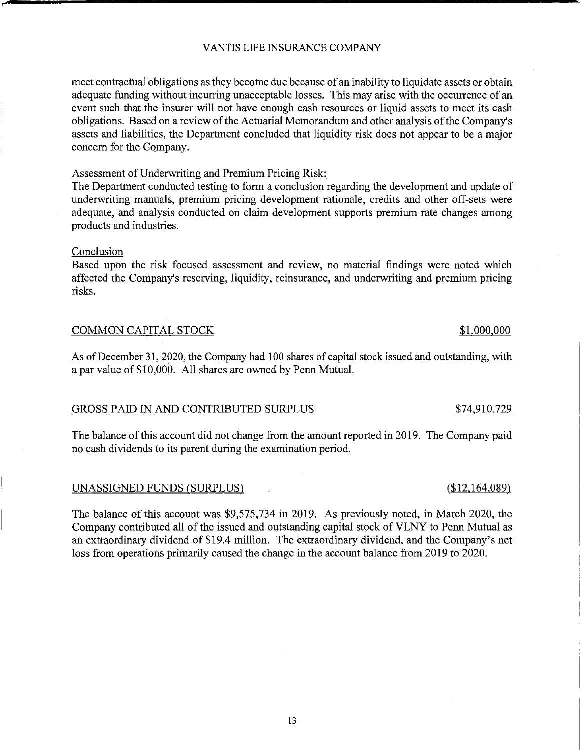meet contractual obligations as they become due because of an inability to liquidate assets or obtain adequate funding without incurring unacceptable losses. This may arise with the occurrence of an event such that the insurer will not have enough cash resources or liquid assets to meet its cash obligations. Based on a review of the Actuarial Memorandum and other analysis of the Company's assets and liabilities, the Department concluded that liquidity risk does not appear to be a major concern for the Company.

#### Assessment of Underwriting and Premium Pricing Risk:

The Department conducted testing to form a conclusion regarding the development and update of underwriting manuals, premium pricing development rationale, credits and other off-sets were adequate, and analysis conducted on claim development supports premium rate changes among products and industries.

#### Conclusion

Based upon the risk focused assessment and review, no material findings were noted which affected the Company's reserving, liquidity, reinsurance, and underwriting and premium pricing risks.

## COMMON CAPITAL STOCK \$1,000,000

As of December 31, 2020, the Company had 100 shares of capital stock issued and outstanding, with a par value of\$10,000. All shares are owned by Penn Mutual.

#### GROSS PAID IN AND CONTRIBUTED SURPLUS \$74,910,729

The balance of this account did not change from the amount reported in 2019. The Company paid no cash dividends to its parent during the examination period.

#### UNASSIGNED FUNDS (SURPLUS) (\$12,164,089)

The balance of this account was \$9,575,734 in 2019. As previously noted, in March 2020, the Company contributed all of the issued and outstanding capital stock of VLNY to Penn Mutual as an extraordinary dividend of \$19.4 million. The extraordinary dividend, and the Company's net loss from operations primarily caused the change in the account balance from 2019 to 2020.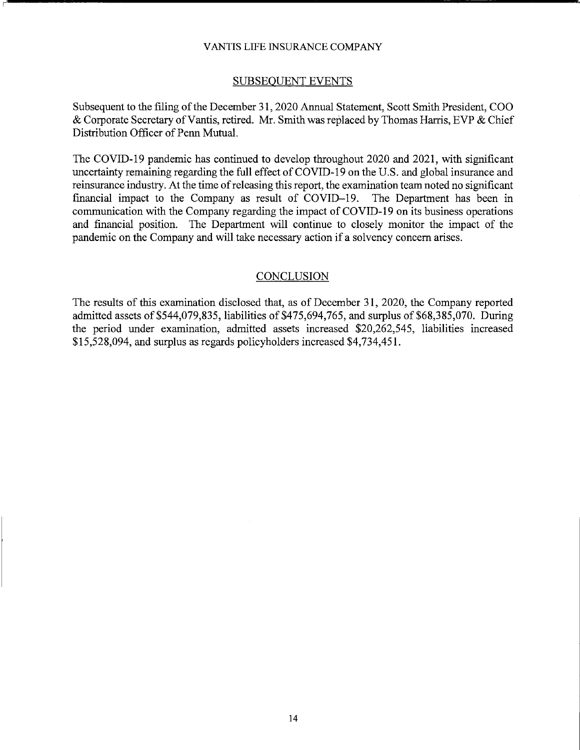#### SUBSEQUENT EVENTS

Subsequent to the filing of the December 31, 2020 Annual Statement, Scott Smith President, COO  $\&$  Corporate Secretary of Vantis, retired. Mr. Smith was replaced by Thomas Harris, EVP  $\&$  Chief Distribution Officer of Penn Mutual.

The COVID-19 pandemic has continued to develop throughout 2020 and 2021, with significant uncertainty remaining regarding the full effect of COVID-19 on the U.S. and global insurance and reinsurance industry. At the time ofreleasing this report, the examination team noted no significant financial impact to the Company as result of COVID-19. The Department has been in communication with the Company regarding the impact of COVID-19 on its business operations and financial position. The Department will continue to closely monitor the impact of the pandemic on the Company and will take necessary action if a solvency concern arises.

#### **CONCLUSION**

The results of this examination disclosed that, as of December 31, 2020, the Company reported admitted assets of \$544,079,835, liabilities of \$475,694,765, and surplus of  $$68,385,070$ . During the period under examination, admitted assets increased \$20,262,545, liabilities increased \$15,528,094, and surplus as regards policyholders increased \$4,734,451.